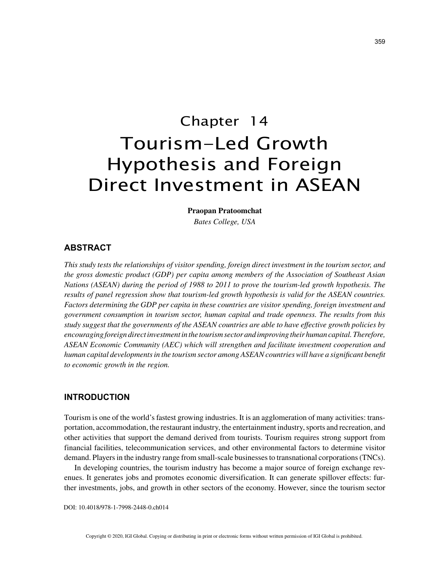# Chapter 14 Tourism-Led Growth Hypothesis and Foreign Direct Investment in ASEAN

**Praopan Pratoomchat**

*Bates College, USA*

## **ABSTRACT**

*This study tests the relationships of visitor spending, foreign direct investment in the tourism sector, and the gross domestic product (GDP) per capita among members of the Association of Southeast Asian Nations (ASEAN) during the period of 1988 to 2011 to prove the tourism-led growth hypothesis. The results of panel regression show that tourism-led growth hypothesis is valid for the ASEAN countries. Factors determining the GDP per capita in these countries are visitor spending, foreign investment and government consumption in tourism sector, human capital and trade openness. The results from this study suggest that the governments of the ASEAN countries are able to have effective growth policies by encouraging foreign direct investment in the tourism sector and improving their human capital. Therefore, ASEAN Economic Community (AEC) which will strengthen and facilitate investment cooperation and human capital developments in the tourism sector among ASEAN countries will have a significant benefit to economic growth in the region.*

## **INTRODUCTION**

Tourism is one of the world's fastest growing industries. It is an agglomeration of many activities: transportation, accommodation, the restaurant industry, the entertainment industry, sports and recreation, and other activities that support the demand derived from tourists. Tourism requires strong support from financial facilities, telecommunication services, and other environmental factors to determine visitor demand. Players in the industry range from small-scale businesses to transnational corporations (TNCs).

In developing countries, the tourism industry has become a major source of foreign exchange revenues. It generates jobs and promotes economic diversification. It can generate spillover effects: further investments, jobs, and growth in other sectors of the economy. However, since the tourism sector

DOI: 10.4018/978-1-7998-2448-0.ch014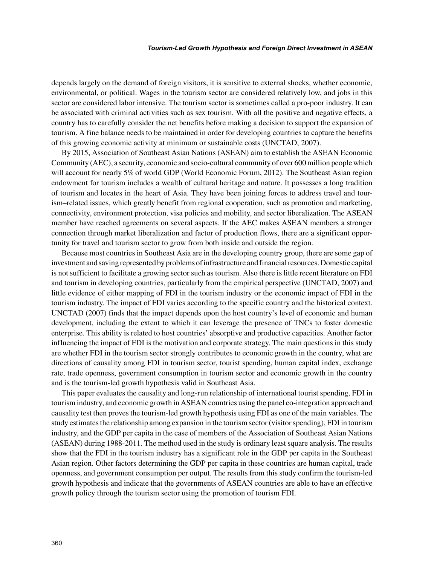depends largely on the demand of foreign visitors, it is sensitive to external shocks, whether economic, environmental, or political. Wages in the tourism sector are considered relatively low, and jobs in this sector are considered labor intensive. The tourism sector is sometimes called a pro-poor industry. It can be associated with criminal activities such as sex tourism. With all the positive and negative effects, a country has to carefully consider the net benefits before making a decision to support the expansion of tourism. A fine balance needs to be maintained in order for developing countries to capture the benefits of this growing economic activity at minimum or sustainable costs (UNCTAD, 2007).

By 2015, Association of Southeast Asian Nations (ASEAN) aim to establish the ASEAN Economic Community (AEC), a security, economic and socio-cultural community of over 600 million people which will account for nearly 5% of world GDP (World Economic Forum, 2012). The Southeast Asian region endowment for tourism includes a wealth of cultural heritage and nature. It possesses a long tradition of tourism and locates in the heart of Asia. They have been joining forces to address travel and tourism–related issues, which greatly benefit from regional cooperation, such as promotion and marketing, connectivity, environment protection, visa policies and mobility, and sector liberalization. The ASEAN member have reached agreements on several aspects. If the AEC makes ASEAN members a stronger connection through market liberalization and factor of production flows, there are a significant opportunity for travel and tourism sector to grow from both inside and outside the region.

Because most countries in Southeast Asia are in the developing country group, there are some gap of investment and saving represented by problems of infrastructure and financial resources. Domestic capital is not sufficient to facilitate a growing sector such as tourism. Also there is little recent literature on FDI and tourism in developing countries, particularly from the empirical perspective (UNCTAD, 2007) and little evidence of either mapping of FDI in the tourism industry or the economic impact of FDI in the tourism industry. The impact of FDI varies according to the specific country and the historical context. UNCTAD (2007) finds that the impact depends upon the host country's level of economic and human development, including the extent to which it can leverage the presence of TNCs to foster domestic enterprise. This ability is related to host countries' absorptive and productive capacities. Another factor influencing the impact of FDI is the motivation and corporate strategy. The main questions in this study are whether FDI in the tourism sector strongly contributes to economic growth in the country, what are directions of causality among FDI in tourism sector, tourist spending, human capital index, exchange rate, trade openness, government consumption in tourism sector and economic growth in the country and is the tourism-led growth hypothesis valid in Southeast Asia.

This paper evaluates the causality and long-run relationship of international tourist spending, FDI in tourism industry, and economic growth in ASEAN countries using the panel co-integration approach and causality test then proves the tourism-led growth hypothesis using FDI as one of the main variables. The study estimates the relationship among expansion in the tourism sector (visitor spending), FDI in tourism industry, and the GDP per capita in the case of members of the Association of Southeast Asian Nations (ASEAN) during 1988-2011. The method used in the study is ordinary least square analysis. The results show that the FDI in the tourism industry has a significant role in the GDP per capita in the Southeast Asian region. Other factors determining the GDP per capita in these countries are human capital, trade openness, and government consumption per output. The results from this study confirm the tourism-led growth hypothesis and indicate that the governments of ASEAN countries are able to have an effective growth policy through the tourism sector using the promotion of tourism FDI.